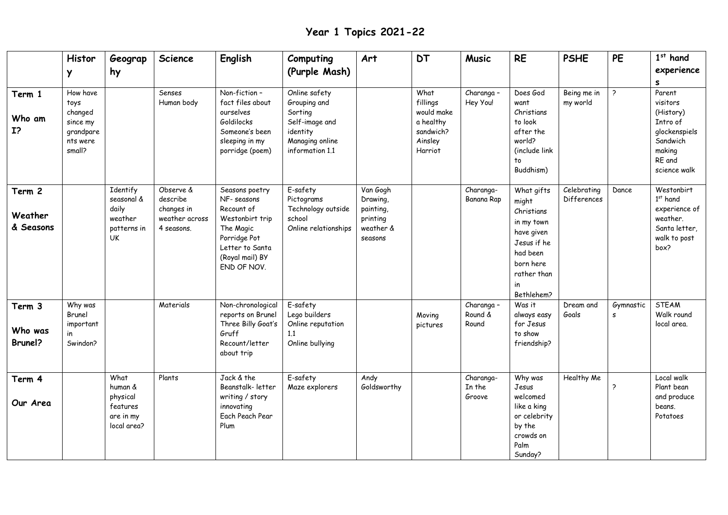**Year 1 Topics 2021-22**

| Term 1<br>Who am<br>$I$ ?      | Histor<br>Y<br>How have<br>toys<br>changed<br>since my<br>grandpare<br>nts were<br>small? | Geograp<br>hy                                                          | <b>Science</b><br>Senses<br>Human body                              | <b>English</b><br>Non-fiction-<br>fact files about<br>ourselves<br>Goldilocks<br>Someone's been<br>sleeping in my<br>porridge (poem)             | Computing<br>(Purple Mash)<br>Online safety<br>Grouping and<br>Sorting<br>Self-image and<br>identity<br>Managing online<br>information 1.1 | Art                                                                   | <b>DT</b><br>What<br>fillings<br>would make<br>a healthy<br>sandwich?<br>Ainsley<br>Harriot | <b>Music</b><br>Charanga -<br>Hey You! | <b>RE</b><br>Does God<br>want<br>Christians<br>to look<br>after the<br>world?<br>(include link<br>to<br>Buddhism)                         | <b>PSHE</b><br>Being me in<br>my world | PE<br>$\overline{ }$ | $1st$ hand<br>experience<br>s<br>Parent<br>visitors<br>(History)<br>Intro of<br>glockenspiels<br>Sandwich<br>making<br>RE and<br>science walk |
|--------------------------------|-------------------------------------------------------------------------------------------|------------------------------------------------------------------------|---------------------------------------------------------------------|--------------------------------------------------------------------------------------------------------------------------------------------------|--------------------------------------------------------------------------------------------------------------------------------------------|-----------------------------------------------------------------------|---------------------------------------------------------------------------------------------|----------------------------------------|-------------------------------------------------------------------------------------------------------------------------------------------|----------------------------------------|----------------------|-----------------------------------------------------------------------------------------------------------------------------------------------|
| Term 2<br>Weather<br>& Seasons |                                                                                           | Identify<br>seasonal &<br>daily<br>weather<br>patterns in<br><b>UK</b> | Observe &<br>describe<br>changes in<br>weather across<br>4 seasons. | Seasons poetry<br>NF- seasons<br>Recount of<br>Westonbirt trip<br>The Magic<br>Porridge Pot<br>Letter to Santa<br>(Royal mail) BY<br>END OF NOV. | E-safety<br>Pictograms<br>Technology outside<br>school<br>Online relationships                                                             | Van Gogh<br>Drawing,<br>painting,<br>printing<br>weather &<br>seasons |                                                                                             | Charanga-<br>Banana Rap                | What gifts<br>might<br>Christians<br>in my town<br>have given<br>Jesus if he<br>had been<br>born here<br>rather than<br>in.<br>Bethlehem? | Celebrating<br>Differences             | Dance                | Westonbirt<br>$1st$ hand<br>experience of<br>weather.<br>Santa letter,<br>walk to post<br>box?                                                |
| Term 3<br>Who was<br>Brunel?   | Why was<br>Brunel<br>important<br>in<br>Swindon?                                          |                                                                        | Materials                                                           | Non-chronological<br>reports on Brunel<br>Three Billy Goat's<br>Gruff<br>Recount/letter<br>about trip                                            | E-safety<br>Lego builders<br>Online reputation<br>1.1<br>Online bullying                                                                   |                                                                       | Moving<br>pictures                                                                          | Charanga -<br>Round &<br>Round         | Was it<br>always easy<br>for Jesus<br>to show<br>friendship?                                                                              | Dream and<br>Goals                     | Gymnastic<br>s       | <b>STEAM</b><br>Walk round<br>local area.                                                                                                     |
| Term 4<br>Our Area             |                                                                                           | What<br>human &<br>physical<br>features<br>are in my<br>local area?    | Plants                                                              | Jack & the<br>Beanstalk-letter<br>writing / story<br>innovating<br>Each Peach Pear<br>Plum                                                       | E-safety<br>Maze explorers                                                                                                                 | Andy<br>Goldsworthy                                                   |                                                                                             | Charanga-<br>In the<br>Groove          | Why was<br>Jesus<br>welcomed<br>like a king<br>or celebrity<br>by the<br>crowds on<br>Palm<br>Sunday?                                     | <b>Healthy Me</b>                      | $\rightarrow$        | Local walk<br>Plant bean<br>and produce<br>beans.<br>Potatoes                                                                                 |